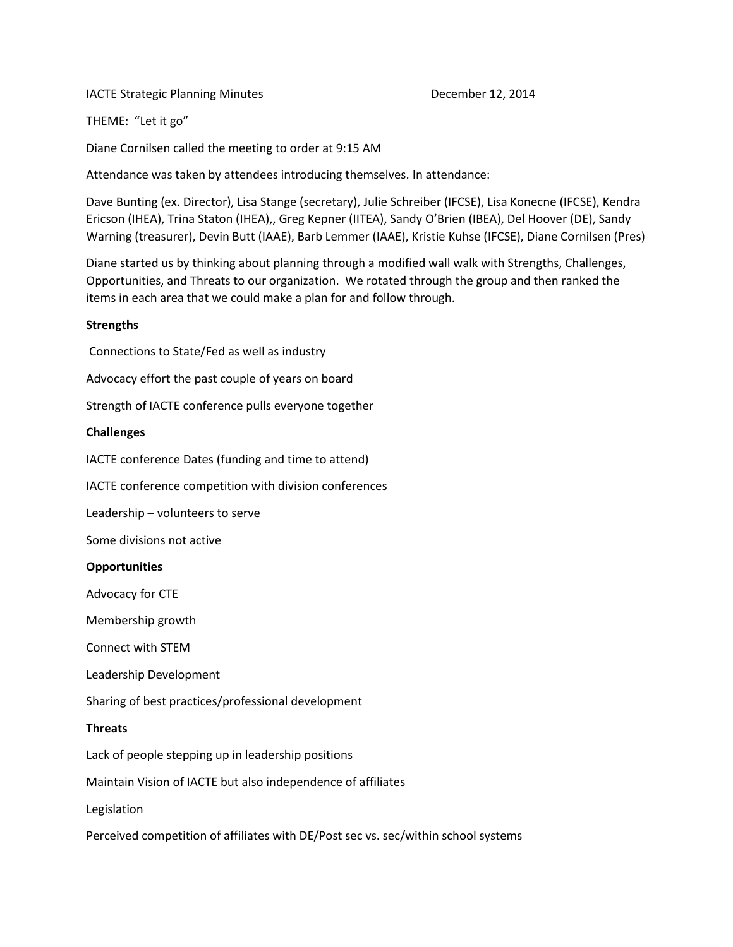IACTE Strategic Planning Minutes **December 12, 2014** 

THEME: "Let it go"

Diane Cornilsen called the meeting to order at 9:15 AM

Attendance was taken by attendees introducing themselves. In attendance:

Dave Bunting (ex. Director), Lisa Stange (secretary), Julie Schreiber (IFCSE), Lisa Konecne (IFCSE), Kendra Ericson (IHEA), Trina Staton (IHEA),, Greg Kepner (IITEA), Sandy O'Brien (IBEA), Del Hoover (DE), Sandy Warning (treasurer), Devin Butt (IAAE), Barb Lemmer (IAAE), Kristie Kuhse (IFCSE), Diane Cornilsen (Pres)

Diane started us by thinking about planning through a modified wall walk with Strengths, Challenges, Opportunities, and Threats to our organization. We rotated through the group and then ranked the items in each area that we could make a plan for and follow through.

# **Strengths**

Connections to State/Fed as well as industry

Advocacy effort the past couple of years on board

Strength of IACTE conference pulls everyone together

# **Challenges**

IACTE conference Dates (funding and time to attend)

IACTE conference competition with division conferences

Leadership – volunteers to serve

Some divisions not active

### **Opportunities**

Advocacy for CTE

Membership growth

Connect with STEM

Leadership Development

Sharing of best practices/professional development

### **Threats**

Lack of people stepping up in leadership positions

Maintain Vision of IACTE but also independence of affiliates

Legislation

Perceived competition of affiliates with DE/Post sec vs. sec/within school systems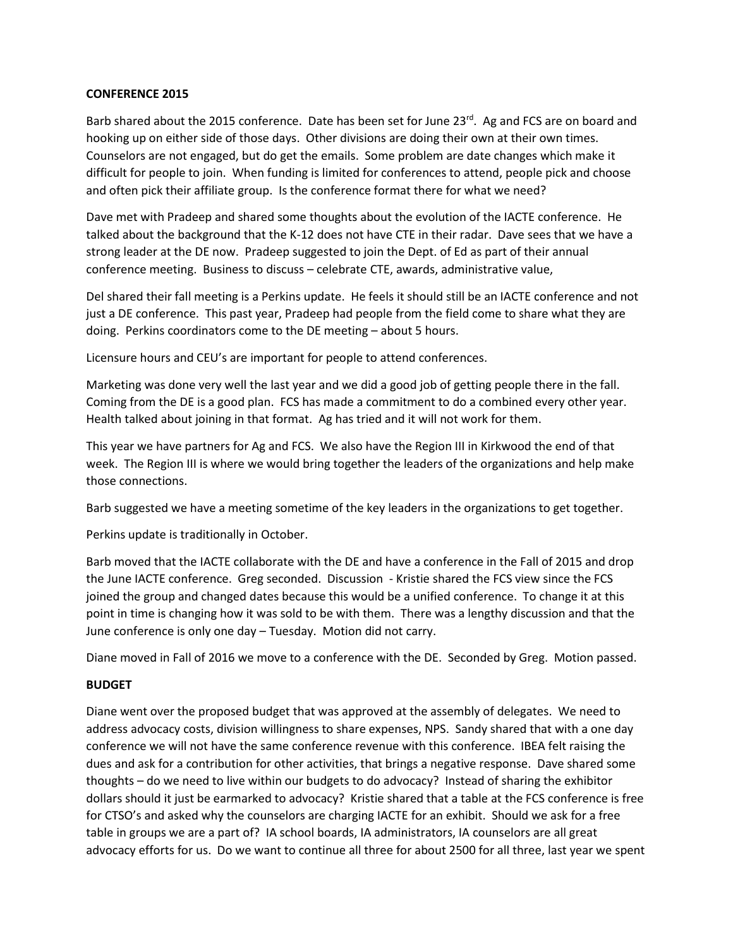# **CONFERENCE 2015**

Barb shared about the 2015 conference. Date has been set for June 23rd. Ag and FCS are on board and hooking up on either side of those days. Other divisions are doing their own at their own times. Counselors are not engaged, but do get the emails. Some problem are date changes which make it difficult for people to join. When funding is limited for conferences to attend, people pick and choose and often pick their affiliate group. Is the conference format there for what we need?

Dave met with Pradeep and shared some thoughts about the evolution of the IACTE conference. He talked about the background that the K-12 does not have CTE in their radar. Dave sees that we have a strong leader at the DE now. Pradeep suggested to join the Dept. of Ed as part of their annual conference meeting. Business to discuss – celebrate CTE, awards, administrative value,

Del shared their fall meeting is a Perkins update. He feels it should still be an IACTE conference and not just a DE conference. This past year, Pradeep had people from the field come to share what they are doing. Perkins coordinators come to the DE meeting – about 5 hours.

Licensure hours and CEU's are important for people to attend conferences.

Marketing was done very well the last year and we did a good job of getting people there in the fall. Coming from the DE is a good plan. FCS has made a commitment to do a combined every other year. Health talked about joining in that format. Ag has tried and it will not work for them.

This year we have partners for Ag and FCS. We also have the Region III in Kirkwood the end of that week. The Region III is where we would bring together the leaders of the organizations and help make those connections.

Barb suggested we have a meeting sometime of the key leaders in the organizations to get together.

Perkins update is traditionally in October.

Barb moved that the IACTE collaborate with the DE and have a conference in the Fall of 2015 and drop the June IACTE conference. Greg seconded. Discussion - Kristie shared the FCS view since the FCS joined the group and changed dates because this would be a unified conference. To change it at this point in time is changing how it was sold to be with them. There was a lengthy discussion and that the June conference is only one day – Tuesday. Motion did not carry.

Diane moved in Fall of 2016 we move to a conference with the DE. Seconded by Greg. Motion passed.

# **BUDGET**

Diane went over the proposed budget that was approved at the assembly of delegates. We need to address advocacy costs, division willingness to share expenses, NPS. Sandy shared that with a one day conference we will not have the same conference revenue with this conference. IBEA felt raising the dues and ask for a contribution for other activities, that brings a negative response. Dave shared some thoughts – do we need to live within our budgets to do advocacy? Instead of sharing the exhibitor dollars should it just be earmarked to advocacy? Kristie shared that a table at the FCS conference is free for CTSO's and asked why the counselors are charging IACTE for an exhibit. Should we ask for a free table in groups we are a part of? IA school boards, IA administrators, IA counselors are all great advocacy efforts for us. Do we want to continue all three for about 2500 for all three, last year we spent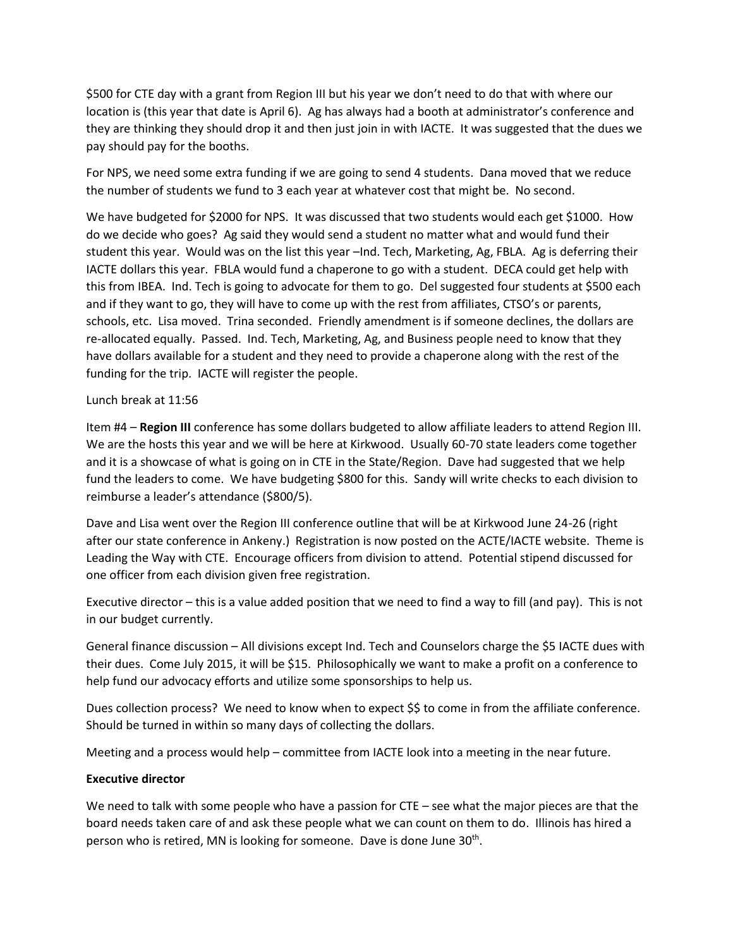\$500 for CTE day with a grant from Region III but his year we don't need to do that with where our location is (this year that date is April 6). Ag has always had a booth at administrator's conference and they are thinking they should drop it and then just join in with IACTE. It was suggested that the dues we pay should pay for the booths.

For NPS, we need some extra funding if we are going to send 4 students. Dana moved that we reduce the number of students we fund to 3 each year at whatever cost that might be. No second.

We have budgeted for \$2000 for NPS. It was discussed that two students would each get \$1000. How do we decide who goes? Ag said they would send a student no matter what and would fund their student this year. Would was on the list this year –Ind. Tech, Marketing, Ag, FBLA. Ag is deferring their IACTE dollars this year. FBLA would fund a chaperone to go with a student. DECA could get help with this from IBEA. Ind. Tech is going to advocate for them to go. Del suggested four students at \$500 each and if they want to go, they will have to come up with the rest from affiliates, CTSO's or parents, schools, etc. Lisa moved. Trina seconded. Friendly amendment is if someone declines, the dollars are re-allocated equally. Passed. Ind. Tech, Marketing, Ag, and Business people need to know that they have dollars available for a student and they need to provide a chaperone along with the rest of the funding for the trip. IACTE will register the people.

### Lunch break at 11:56

Item #4 – **Region III** conference has some dollars budgeted to allow affiliate leaders to attend Region III. We are the hosts this year and we will be here at Kirkwood. Usually 60-70 state leaders come together and it is a showcase of what is going on in CTE in the State/Region. Dave had suggested that we help fund the leaders to come. We have budgeting \$800 for this. Sandy will write checks to each division to reimburse a leader's attendance (\$800/5).

Dave and Lisa went over the Region III conference outline that will be at Kirkwood June 24-26 (right after our state conference in Ankeny.) Registration is now posted on the ACTE/IACTE website. Theme is Leading the Way with CTE. Encourage officers from division to attend. Potential stipend discussed for one officer from each division given free registration.

Executive director – this is a value added position that we need to find a way to fill (and pay). This is not in our budget currently.

General finance discussion – All divisions except Ind. Tech and Counselors charge the \$5 IACTE dues with their dues. Come July 2015, it will be \$15. Philosophically we want to make a profit on a conference to help fund our advocacy efforts and utilize some sponsorships to help us.

Dues collection process? We need to know when to expect \$\$ to come in from the affiliate conference. Should be turned in within so many days of collecting the dollars.

Meeting and a process would help – committee from IACTE look into a meeting in the near future.

# **Executive director**

We need to talk with some people who have a passion for CTE – see what the major pieces are that the board needs taken care of and ask these people what we can count on them to do. Illinois has hired a person who is retired, MN is looking for someone. Dave is done June 30<sup>th</sup>.